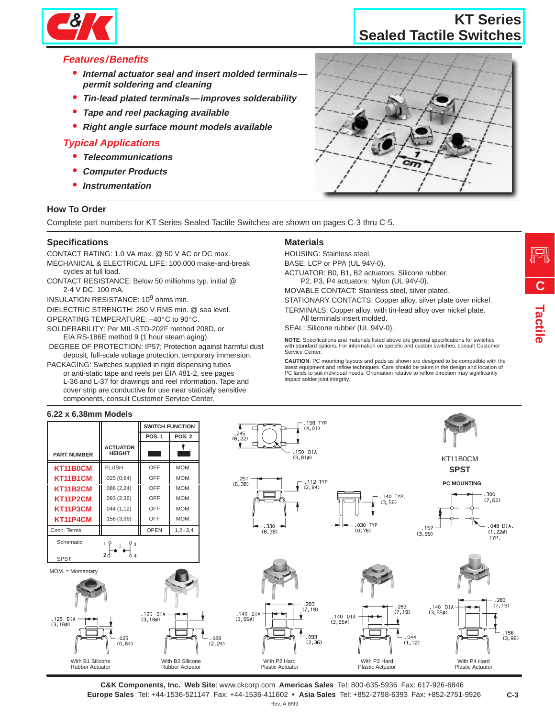

## **Sealed Tactile Switches KT Series**

# **Features/Benefits**

- **Internal actuator seal and insert molded terminals permit soldering and cleaning**  $\overline{a}$
- **Tin-lead plated terminals—improves solderability** Ĩ.
- **Tape and reel packaging available**
- **Right and reer packaging available**<br>**•** Right angle surface mount models available

# **Typical Applications**

- **Telecommunications**
- **Computer Products** Ĩ.
- **Instrumentation**

### **How To Order**

Complete part numbers for KT Series Sealed Tactile Switches are shown on pages C-3 thru C-5.

#### **Specifications**

CONTACT RATING: 1.0 VA max. @ 50 V AC or DC max.

- MECHANICAL & ELECTRICAL LIFE: 100,000 make-and-break cycles at full load.
- CONTACT RESISTANCE: Below 50 milliohms typ. initial @ 2-4 V DC, 100 mA.

INSULATION RESISTANCE: 10<sup>9</sup> ohms min.

DIELECTRIC STRENGTH: 250 V RMS min. @ sea level.

OPERATING TEMPERATURE: –40°C to 90°C.

SOLDERABILITY: Per MIL-STD-202F method 208D, or EIA RS-186E method 9 (1 hour steam aging).

 DEGREE OF PROTECTION: IP57; Protection against harmful dust deposit, full-scale voltage protection, temporary immersion.

PACKAGING: Switches supplied in rigid dispensing tubes or anti-static tape and reels per EIA 481-2, see pages L-36 and L-37 for drawings and reel information. Tape and cover strip are conductive for use near statically sensitive components, consult Customer Service Center.

#### **Materials**

HOUSING: Stainless steel.

BASE: LCP or PPA (UL 94V-0). ACTUATOR: B0, B1, B2 actuators: Silicone rubber.

P2, P3, P4 actuators: Nylon (UL 94V-0).

MOVABLE CONTACT: Stainless steel, silver plated.

STATIONARY CONTACTS: Copper alloy, silver plate over nickel. TERMINALS: Copper alloy, with tin-lead alloy over nickel plate.

All terminals insert molded.

SEAL: Silicone rubber (UL 94V-0).

**NOTE**: Specifications and materials listed above are general specifications for switches with standard options. For information on specific and custom switches, consult Customer Service Center.

**CAUTION**: PC mounting layouts and pads as shown are designed to be compatible with the latest equipment and reflow techniques. Care should be taken in the design and location of PC lands to suit individual needs. Orientation relative to reflow direction may significantly impact solder joint integrity.



**C&K Components, Inc. Web Site**: www.ckcorp.com **Americas Sales** Tel: 800-635-5936 Fax: 617-926-6846 **Europe Sales** Tel: +44-1536-521147 Fax: +44-1536-411602 **Asia Sales** Tel: +852-2798-6393 Fax: +852-2751-9926 Rev. A 8/99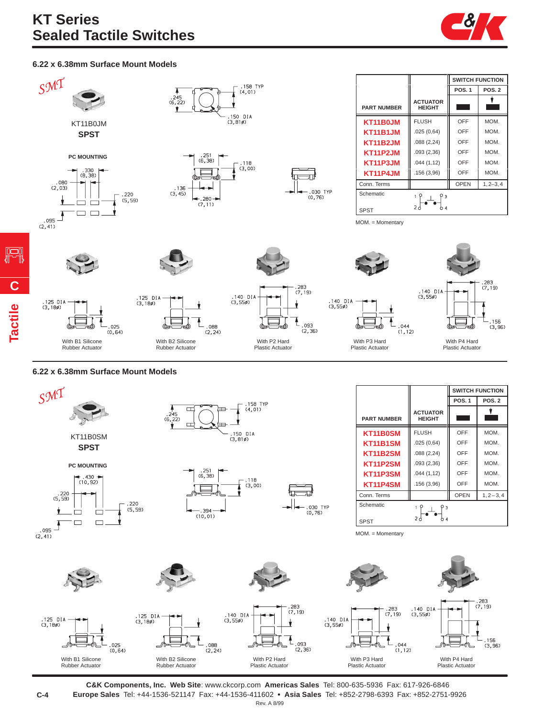

### **6.22 x 6.38mm Surface Mount Models**



#### **6.22 x 6.38mm Surface Mount Models**

**Tactile**

**C**



**C&K Components, Inc. Web Site**: www.ckcorp.com **Americas Sales** Tel: 800-635-5936 Fax: 617-926-6846 **Europe Sales** Tel: +44-1536-521147 Fax: +44-1536-411602 **Asia Sales** Tel: +852-2798-6393 Fax: +852-2751-9926 Rev. A 8/99